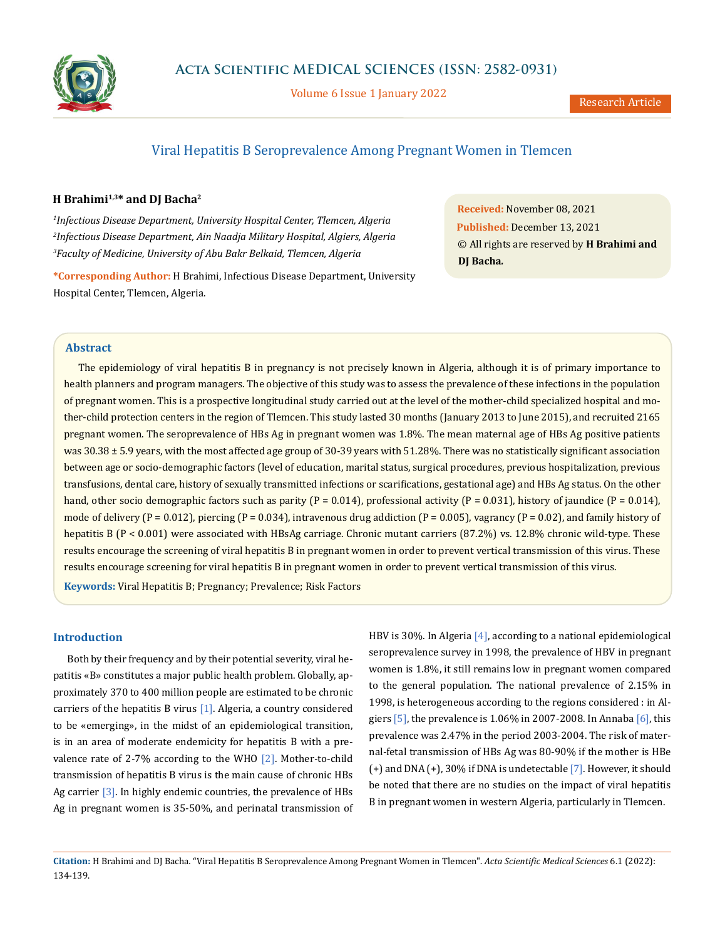

Volume 6 Issue 1 January 2022

# Viral Hepatitis B Seroprevalence Among Pregnant Women in Tlemcen

# **H Brahimi1,3\* and DJ Bacha2**

*1 Infectious Disease Department, University Hospital Center, Tlemcen, Algeria 2 Infectious Disease Department, Ain Naadja Military Hospital, Algiers, Algeria 3 Faculty of Medicine, University of Abu Bakr Belkaid, Tlemcen, Algeria*

**\*Corresponding Author:** H Brahimi, Infectious Disease Department, University Hospital Center, Tlemcen, Algeria.

**Received:** November 08, 2021 **Published:** December 13, 2021 © All rights are reserved by **H Brahimi and DJ Bacha***.*

#### **Abstract**

The epidemiology of viral hepatitis B in pregnancy is not precisely known in Algeria, although it is of primary importance to health planners and program managers. The objective of this study was to assess the prevalence of these infections in the population of pregnant women. This is a prospective longitudinal study carried out at the level of the mother-child specialized hospital and mother-child protection centers in the region of Tlemcen. This study lasted 30 months (January 2013 to June 2015), and recruited 2165 pregnant women. The seroprevalence of HBs Ag in pregnant women was 1.8%. The mean maternal age of HBs Ag positive patients was 30.38 ± 5.9 years, with the most affected age group of 30-39 years with 51.28%. There was no statistically significant association between age or socio-demographic factors (level of education, marital status, surgical procedures, previous hospitalization, previous transfusions, dental care, history of sexually transmitted infections or scarifications, gestational age) and HBs Ag status. On the other hand, other socio demographic factors such as parity (P = 0.014), professional activity (P = 0.031), history of jaundice (P = 0.014), mode of delivery (P = 0.012), piercing (P = 0.034), intravenous drug addiction (P = 0.005), vagrancy (P = 0.02), and family history of hepatitis B (P < 0.001) were associated with HBsAg carriage. Chronic mutant carriers (87.2%) vs. 12.8% chronic wild-type. These results encourage the screening of viral hepatitis B in pregnant women in order to prevent vertical transmission of this virus. These results encourage screening for viral hepatitis B in pregnant women in order to prevent vertical transmission of this virus. **Keywords:** Viral Hepatitis B; Pregnancy; Prevalence; Risk Factors

#### **Introduction**

Both by their frequency and by their potential severity, viral hepatitis «B» constitutes a major public health problem. Globally, approximately 370 to 400 million people are estimated to be chronic carriers of the hepatitis B virus  $[1]$ . Algeria, a country considered to be «emerging», in the midst of an epidemiological transition, is in an area of moderate endemicity for hepatitis B with a prevalence rate of 2-7% according to the WHO  $[2]$ . Mother-to-child transmission of hepatitis B virus is the main cause of chronic HBs Ag carrier [3]. In highly endemic countries, the prevalence of HBs Ag in pregnant women is 35-50%, and perinatal transmission of HBV is 30%. In Algeria [4], according to a national epidemiological seroprevalence survey in 1998, the prevalence of HBV in pregnant women is 1.8%, it still remains low in pregnant women compared to the general population. The national prevalence of 2.15% in 1998, is heterogeneous according to the regions considered : in Algiers  $[5]$ , the prevalence is 1.06% in 2007-2008. In Annaba  $[6]$ , this prevalence was 2.47% in the period 2003-2004. The risk of maternal-fetal transmission of HBs Ag was 80-90% if the mother is HBe (+) and DNA (+), 30% if DNA is undetectable [7]. However, it should be noted that there are no studies on the impact of viral hepatitis B in pregnant women in western Algeria, particularly in Tlemcen.

**Citation:** H Brahimi and DJ Bacha*.* "Viral Hepatitis B Seroprevalence Among Pregnant Women in Tlemcen". *Acta Scientific Medical Sciences* 6.1 (2022): 134-139.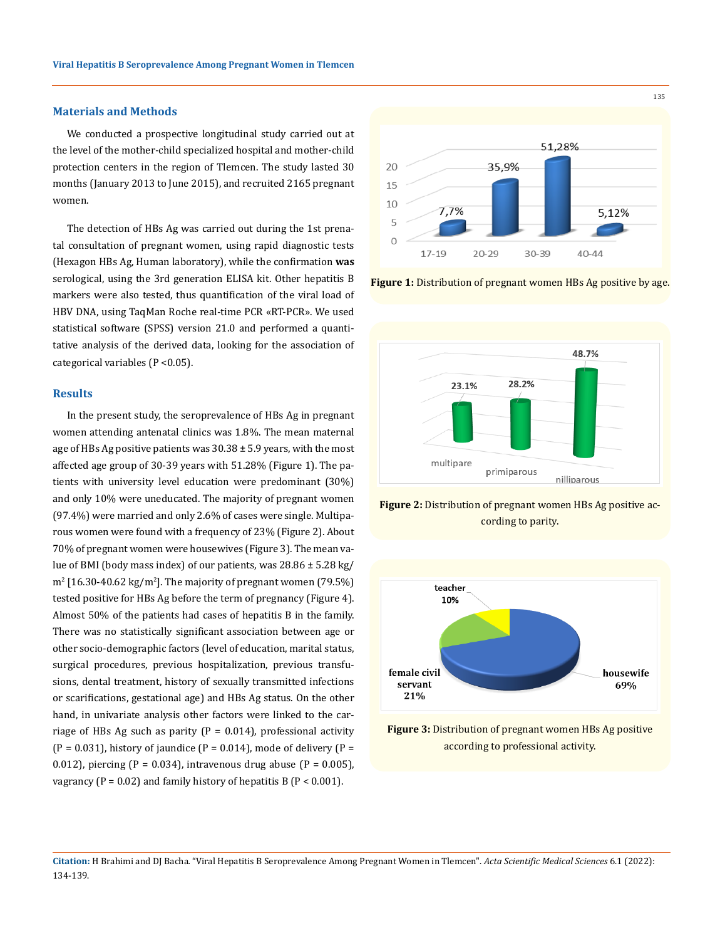### **Materials and Methods**

We conducted a prospective longitudinal study carried out at the level of the mother-child specialized hospital and mother-child protection centers in the region of Tlemcen. The study lasted 30 months (January 2013 to June 2015), and recruited 2165 pregnant women.

The detection of HBs Ag was carried out during the 1st prenatal consultation of pregnant women, using rapid diagnostic tests (Hexagon HBs Ag, Human laboratory), while the confirmation **was** serological, using the 3rd generation ELISA kit. Other hepatitis B markers were also tested, thus quantification of the viral load of HBV DNA, using TaqMan Roche real-time PCR «RT-PCR». We used statistical software (SPSS) version 21.0 and performed a quantitative analysis of the derived data, looking for the association of categorical variables (P <0.05).

#### **Results**

In the present study, the seroprevalence of HBs Ag in pregnant women attending antenatal clinics was 1.8%. The mean maternal age of HBs Ag positive patients was  $30.38 \pm 5.9$  years, with the most affected age group of 30-39 years with 51.28% (Figure 1). The patients with university level education were predominant (30%) and only 10% were uneducated. The majority of pregnant women (97.4%) were married and only 2.6% of cases were single. Multiparous women were found with a frequency of 23% (Figure 2). About 70% of pregnant women were housewives (Figure 3). The mean value of BMI (body mass index) of our patients, was 28.86 ± 5.28 kg/  $\rm m^2$  [16.30-40.62 kg/m<sup>2</sup>]. The majority of pregnant women (79.5%) tested positive for HBs Ag before the term of pregnancy (Figure 4). Almost 50% of the patients had cases of hepatitis B in the family. There was no statistically significant association between age or other socio-demographic factors (level of education, marital status, surgical procedures, previous hospitalization, previous transfusions, dental treatment, history of sexually transmitted infections or scarifications, gestational age) and HBs Ag status. On the other hand, in univariate analysis other factors were linked to the carriage of HBs Ag such as parity  $(P = 0.014)$ , professional activity  $(P = 0.031)$ , history of jaundice  $(P = 0.014)$ , mode of delivery  $(P = 0.031)$ 0.012), piercing (P = 0.034), intravenous drug abuse (P = 0.005), vagrancy ( $P = 0.02$ ) and family history of hepatitis B ( $P < 0.001$ ).



**Figure 1:** Distribution of pregnant women HBs Ag positive by age.



**Figure 2:** Distribution of pregnant women HBs Ag positive according to parity.



**Figure 3:** Distribution of pregnant women HBs Ag positive according to professional activity.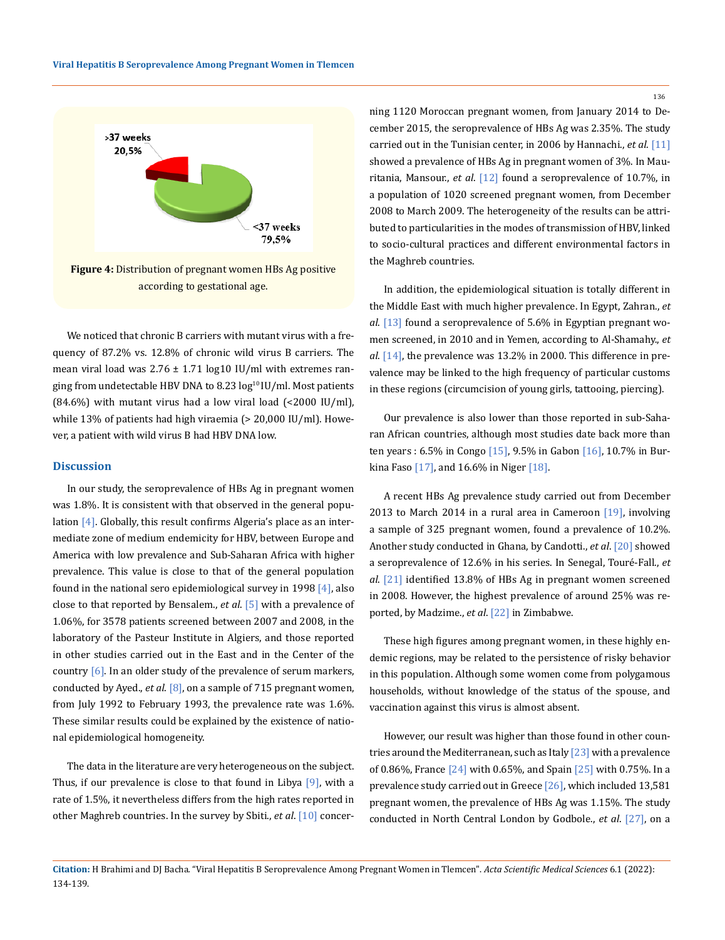

according to gestational age.

We noticed that chronic B carriers with mutant virus with a frequency of 87.2% vs. 12.8% of chronic wild virus B carriers. The mean viral load was  $2.76 \pm 1.71$  log10 IU/ml with extremes ranging from undetectable HBV DNA to  $8.23 \log^{10}$  IU/ml. Most patients  $(84.6\%)$  with mutant virus had a low viral load  $($  < 2000 IU/ml $)$ , while 13% of patients had high viraemia (> 20,000 IU/ml). However, a patient with wild virus B had HBV DNA low.

#### **Discussion**

In our study, the seroprevalence of HBs Ag in pregnant women was 1.8%. It is consistent with that observed in the general population [4]. Globally, this result confirms Algeria's place as an intermediate zone of medium endemicity for HBV, between Europe and America with low prevalence and Sub-Saharan Africa with higher prevalence. This value is close to that of the general population found in the national sero epidemiological survey in 1998  $[4]$ , also close to that reported by Bensalem., *et al*. [5] with a prevalence of 1.06%, for 3578 patients screened between 2007 and 2008, in the laboratory of the Pasteur Institute in Algiers, and those reported in other studies carried out in the East and in the Center of the country  $[6]$ . In an older study of the prevalence of serum markers, conducted by Ayed., *et al*. [8], on a sample of 715 pregnant women, from July 1992 to February 1993, the prevalence rate was 1.6%. These similar results could be explained by the existence of national epidemiological homogeneity.

The data in the literature are very heterogeneous on the subject. Thus, if our prevalence is close to that found in Libya [9], with a rate of 1.5%, it nevertheless differs from the high rates reported in other Maghreb countries. In the survey by Sbiti., *et al*. [10] concerning 1120 Moroccan pregnant women, from January 2014 to December 2015, the seroprevalence of HBs Ag was 2.35%. The study carried out in the Tunisian center, in 2006 by Hannachi., *et al*. [11] showed a prevalence of HBs Ag in pregnant women of 3%. In Mauritania, Mansour., *et al*. [12] found a seroprevalence of 10.7%, in a population of 1020 screened pregnant women, from December 2008 to March 2009. The heterogeneity of the results can be attributed to particularities in the modes of transmission of HBV, linked to socio-cultural practices and different environmental factors in the Maghreb countries.

In addition, the epidemiological situation is totally different in the Middle East with much higher prevalence. In Egypt, Zahran., *et al*. [13] found a seroprevalence of 5.6% in Egyptian pregnant women screened, in 2010 and in Yemen, according to Al-Shamahy., *et al*. [14], the prevalence was 13.2% in 2000. This difference in prevalence may be linked to the high frequency of particular customs in these regions (circumcision of young girls, tattooing, piercing).

Our prevalence is also lower than those reported in sub-Saharan African countries, although most studies date back more than ten years : 6.5% in Congo [15], 9.5% in Gabon [16], 10.7% in Burkina Faso  $[17]$ , and 16.6% in Niger  $[18]$ .

A recent HBs Ag prevalence study carried out from December 2013 to March 2014 in a rural area in Cameroon [19], involving a sample of 325 pregnant women, found a prevalence of 10.2%. Another study conducted in Ghana, by Candotti., *et al*. [20] showed a seroprevalence of 12.6% in his series. In Senegal, Touré-Fall., *et al*. [21] identified 13.8% of HBs Ag in pregnant women screened in 2008. However, the highest prevalence of around 25% was reported, by Madzime., *et al*. [22] in Zimbabwe.

These high figures among pregnant women, in these highly endemic regions, may be related to the persistence of risky behavior in this population. Although some women come from polygamous households, without knowledge of the status of the spouse, and vaccination against this virus is almost absent.

However, our result was higher than those found in other countries around the Mediterranean, such as Italy  $[23]$  with a prevalence of 0.86%, France [24] with 0.65%, and Spain [25] with 0.75%. In a prevalence study carried out in Greece [26], which included 13,581 pregnant women, the prevalence of HBs Ag was 1.15%. The study conducted in North Central London by Godbole., *et al*. [27], on a

136

**Citation:** H Brahimi and DJ Bacha*.* "Viral Hepatitis B Seroprevalence Among Pregnant Women in Tlemcen". *Acta Scientific Medical Sciences* 6.1 (2022): 134-139.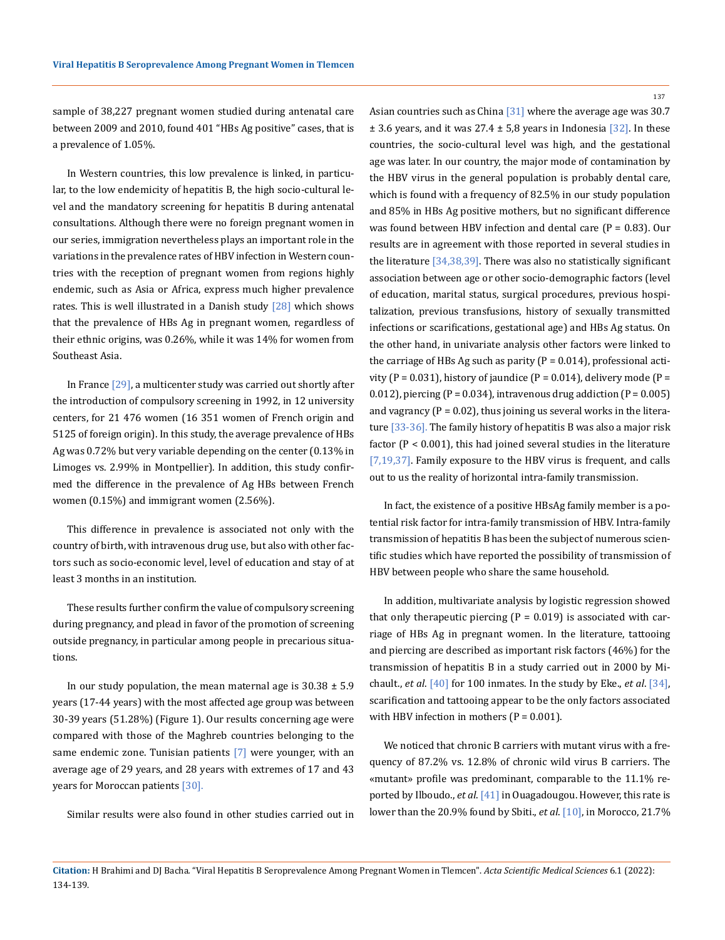137

sample of 38,227 pregnant women studied during antenatal care between 2009 and 2010, found 401 "HBs Ag positive" cases, that is a prevalence of 1.05%.

In Western countries, this low prevalence is linked, in particular, to the low endemicity of hepatitis B, the high socio-cultural level and the mandatory screening for hepatitis B during antenatal consultations. Although there were no foreign pregnant women in our series, immigration nevertheless plays an important role in the variations in the prevalence rates of HBV infection in Western countries with the reception of pregnant women from regions highly endemic, such as Asia or Africa, express much higher prevalence rates. This is well illustrated in a Danish study [28] which shows that the prevalence of HBs Ag in pregnant women, regardless of their ethnic origins, was 0.26%, while it was 14% for women from Southeast Asia.

In France [29], a multicenter study was carried out shortly after the introduction of compulsory screening in 1992, in 12 university centers, for 21 476 women (16 351 women of French origin and 5125 of foreign origin). In this study, the average prevalence of HBs Ag was 0.72% but very variable depending on the center (0.13% in Limoges vs. 2.99% in Montpellier). In addition, this study confirmed the difference in the prevalence of Ag HBs between French women (0.15%) and immigrant women (2.56%).

This difference in prevalence is associated not only with the country of birth, with intravenous drug use, but also with other factors such as socio-economic level, level of education and stay of at least 3 months in an institution.

These results further confirm the value of compulsory screening during pregnancy, and plead in favor of the promotion of screening outside pregnancy, in particular among people in precarious situations.

In our study population, the mean maternal age is  $30.38 \pm 5.9$ years (17-44 years) with the most affected age group was between 30-39 years (51.28%) (Figure 1). Our results concerning age were compared with those of the Maghreb countries belonging to the same endemic zone. Tunisian patients [7] were younger, with an average age of 29 years, and 28 years with extremes of 17 and 43 years for Moroccan patients [30].

Similar results were also found in other studies carried out in

Asian countries such as China  $[31]$  where the average age was 30.7  $\pm$  3.6 years, and it was 27.4  $\pm$  5,8 years in Indonesia [32]. In these countries, the socio-cultural level was high, and the gestational age was later. In our country, the major mode of contamination by the HBV virus in the general population is probably dental care, which is found with a frequency of 82.5% in our study population and 85% in HBs Ag positive mothers, but no significant difference was found between HBV infection and dental care ( $P = 0.83$ ). Our results are in agreement with those reported in several studies in the literature [34,38,39]. There was also no statistically significant association between age or other socio-demographic factors (level of education, marital status, surgical procedures, previous hospitalization, previous transfusions, history of sexually transmitted infections or scarifications, gestational age) and HBs Ag status. On the other hand, in univariate analysis other factors were linked to the carriage of HBs Ag such as parity  $(P = 0.014)$ , professional activity (P = 0.031), history of jaundice (P = 0.014), delivery mode (P = 0.012), piercing (P = 0.034), intravenous drug addiction (P =  $0.005$ ) and vagrancy  $(P = 0.02)$ , thus joining us several works in the literature [33-36]. The family history of hepatitis B was also a major risk factor (P < 0.001), this had joined several studies in the literature [7,19,37]. Family exposure to the HBV virus is frequent, and calls out to us the reality of horizontal intra-family transmission.

In fact, the existence of a positive HBsAg family member is a potential risk factor for intra-family transmission of HBV. Intra-family transmission of hepatitis B has been the subject of numerous scientific studies which have reported the possibility of transmission of HBV between people who share the same household.

In addition, multivariate analysis by logistic regression showed that only therapeutic piercing  $(P = 0.019)$  is associated with carriage of HBs Ag in pregnant women. In the literature, tattooing and piercing are described as important risk factors (46%) for the transmission of hepatitis B in a study carried out in 2000 by Michault., *et al*. [40] for 100 inmates. In the study by Eke., *et al*. [34], scarification and tattooing appear to be the only factors associated with HBV infection in mothers ( $P = 0.001$ ).

We noticed that chronic B carriers with mutant virus with a frequency of 87.2% vs. 12.8% of chronic wild virus B carriers. The «mutant» profile was predominant, comparable to the 11.1% reported by Ilboudo., *et al*. [41] in Ouagadougou. However, this rate is lower than the 20.9% found by Sbiti., *et al*. [10], in Morocco, 21.7%

**Citation:** H Brahimi and DJ Bacha*.* "Viral Hepatitis B Seroprevalence Among Pregnant Women in Tlemcen". *Acta Scientific Medical Sciences* 6.1 (2022): 134-139.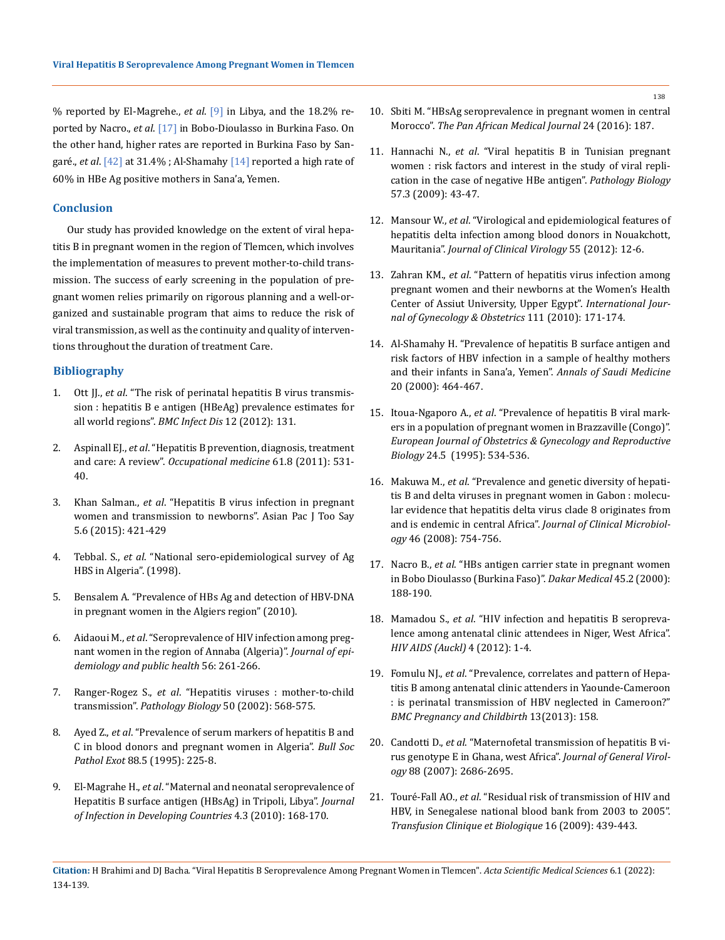% reported by El-Magrehe., *et al*. [9] in Libya, and the 18.2% reported by Nacro., *et al*. [17] in Bobo-Dioulasso in Burkina Faso. On the other hand, higher rates are reported in Burkina Faso by Sangaré., *et al*. [42] at 31.4% ; Al-Shamahy [14] reported a high rate of 60% in HBe Ag positive mothers in Sana'a, Yemen.

#### **Conclusion**

Our study has provided knowledge on the extent of viral hepatitis B in pregnant women in the region of Tlemcen, which involves the implementation of measures to prevent mother-to-child transmission. The success of early screening in the population of pregnant women relies primarily on rigorous planning and a well-organized and sustainable program that aims to reduce the risk of viral transmission, as well as the continuity and quality of interventions throughout the duration of treatment Care.

# **Bibliography**

- 1. Ott JJ., *et al*[. "The risk of perinatal hepatitis B virus transmis](https://pubmed.ncbi.nlm.nih.gov/22682147/)[sion : hepatitis B e antigen \(HBeAg\) prevalence estimates for](https://pubmed.ncbi.nlm.nih.gov/22682147/)  [all world regions".](https://pubmed.ncbi.nlm.nih.gov/22682147/) *BMC Infect Dis* 12 (2012): 131.
- 2. Aspinall EJ., *et al*[. "Hepatitis B prevention, diagnosis, treatment](https://pubmed.ncbi.nlm.nih.gov/22114089/)  and care: A review". *[Occupational medicine](https://pubmed.ncbi.nlm.nih.gov/22114089/)* 61.8 (2011): 531- [40.](https://pubmed.ncbi.nlm.nih.gov/22114089/)
- 3. Khan Salman., *et al*. "Hepatitis B virus infection in pregnant women and transmission to newborns". Asian Pac J Too Say 5.6 (2015): 421-429
- 4. Tebbal. S., *et al*. "National sero-epidemiological survey of Ag HBS in Algeria". (1998).
- 5. Bensalem A. "Prevalence of HBs Ag and detection of HBV-DNA in pregnant women in the Algiers region" (2010).
- 6. Aidaoui M., *et al*[. "Seroprevalence of HIV infection among preg](http://europepmc.org/article/MED/18687541)[nant women in the region of Annaba \(Algeria\)".](http://europepmc.org/article/MED/18687541) *Journal of epi[demiology and public health](http://europepmc.org/article/MED/18687541)* 56: 261-266.
- 7. Ranger-Rogez S., *et al*[. "Hepatitis viruses : mother-to-child](https://pubmed.ncbi.nlm.nih.gov/12490422/)  transmission". *Pathology Biology* [50 \(2002\): 568-575.](https://pubmed.ncbi.nlm.nih.gov/12490422/)
- 8. Ayed Z., *et al*. "Prevalence of serum markers of hepatitis B and C in blood donors and pregnant women in Algeria". *Bull Soc Pathol Exot* 88.5 (1995): 225-8.
- 9. El-Magrahe H., *et al*[. "Maternal and neonatal seroprevalence of](https://www.academia.edu/8302088/Maternal_and_neonatal_seroprevalence_of_Hepatitis_B_surface_antigen_HBsAg_in_Tripoli_Libya)  [Hepatitis B surface antigen \(HBsAg\) in Tripoli, Libya".](https://www.academia.edu/8302088/Maternal_and_neonatal_seroprevalence_of_Hepatitis_B_surface_antigen_HBsAg_in_Tripoli_Libya) *Journal [of Infection in Developing Countries](https://www.academia.edu/8302088/Maternal_and_neonatal_seroprevalence_of_Hepatitis_B_surface_antigen_HBsAg_in_Tripoli_Libya)* 4.3 (2010): 168-170.
- 10. [Sbiti M. "HBsAg seroprevalence in pregnant women in central](http://europepmc.org/article/MED/27795784)  Morocco". *[The Pan African Medical Journal](http://europepmc.org/article/MED/27795784)* 24 (2016): 187.
- 11. Hannachi N., *et al*. "Viral hepatitis B in Tunisian pregnant women : risk factors and interest in the study of viral replication in the case of negative HBe antigen". *Pathology Biology* 57.3 (2009): 43-47.
- 12. Mansour W., *et al*[. "Virological and epidemiological features of](https://pubmed.ncbi.nlm.nih.gov/22704272/)  [hepatitis delta infection among blood donors in Nouakchott,](https://pubmed.ncbi.nlm.nih.gov/22704272/)  Mauritania". *[Journal of Clinical Virology](https://pubmed.ncbi.nlm.nih.gov/22704272/)* 55 (2012): 12-6.
- 13. Zahran KM., *et al*[. "Pattern of hepatitis virus infection among](https://pubmed.ncbi.nlm.nih.gov/20708181/)  [pregnant women and their newborns at the Women's Health](https://pubmed.ncbi.nlm.nih.gov/20708181/)  [Center of Assiut University, Upper Egypt".](https://pubmed.ncbi.nlm.nih.gov/20708181/) *International Jour[nal of Gynecology & Obstetrics](https://pubmed.ncbi.nlm.nih.gov/20708181/)* 111 (2010): 171-174.
- 14. [Al-Shamahy H. "Prevalence of hepatitis B surface antigen and](https://pubmed.ncbi.nlm.nih.gov/17264652/)  [risk factors of HBV infection in a sample of healthy mothers](https://pubmed.ncbi.nlm.nih.gov/17264652/)  [and their infants in Sana'a, Yemen".](https://pubmed.ncbi.nlm.nih.gov/17264652/) *Annals of Saudi Medicine* [20 \(2000\): 464-467.](https://pubmed.ncbi.nlm.nih.gov/17264652/)
- 15. Itoua-Ngaporo A., *et al*[. "Prevalence of hepatitis B viral mark](https://europepmc.org/article/MED/7499742)[ers in a population of pregnant women in Brazzaville \(Congo\)".](https://europepmc.org/article/MED/7499742)  *[European Journal of Obstetrics & Gynecology and Reproductive](https://europepmc.org/article/MED/7499742)  Biology* [24.5 \(1995\): 534-536.](https://europepmc.org/article/MED/7499742)
- 16. Makuwa M., *et al*[. "Prevalence and genetic diversity of hepati](https://www.researchgate.net/publication/5770243_Prevalence_and_Genetic_Diversity_of_Hepatitis_B_and_Delta_Viruses_in_Pregnant_Women_in_Gabon_Molecular_Evidence_that_Hepatitis_Delta_Virus_Clade_8_Originates_from_and_Is_Endemic_in_Central_Africa)[tis B and delta viruses in pregnant women in Gabon : molecu](https://www.researchgate.net/publication/5770243_Prevalence_and_Genetic_Diversity_of_Hepatitis_B_and_Delta_Viruses_in_Pregnant_Women_in_Gabon_Molecular_Evidence_that_Hepatitis_Delta_Virus_Clade_8_Originates_from_and_Is_Endemic_in_Central_Africa)[lar evidence that hepatitis delta virus clade 8 originates from](https://www.researchgate.net/publication/5770243_Prevalence_and_Genetic_Diversity_of_Hepatitis_B_and_Delta_Viruses_in_Pregnant_Women_in_Gabon_Molecular_Evidence_that_Hepatitis_Delta_Virus_Clade_8_Originates_from_and_Is_Endemic_in_Central_Africa)  and is endemic in central Africa". *[Journal of Clinical Microbiol](https://www.researchgate.net/publication/5770243_Prevalence_and_Genetic_Diversity_of_Hepatitis_B_and_Delta_Viruses_in_Pregnant_Women_in_Gabon_Molecular_Evidence_that_Hepatitis_Delta_Virus_Clade_8_Originates_from_and_Is_Endemic_in_Central_Africa)ogy* [46 \(2008\): 754-756.](https://www.researchgate.net/publication/5770243_Prevalence_and_Genetic_Diversity_of_Hepatitis_B_and_Delta_Viruses_in_Pregnant_Women_in_Gabon_Molecular_Evidence_that_Hepatitis_Delta_Virus_Clade_8_Originates_from_and_Is_Endemic_in_Central_Africa)
- 17. Nacro B., *et al*[. "HBs antigen carrier state in pregnant women](https://europepmc.org/article/MED/15779182)  [in Bobo Dioulasso \(Burkina Faso\)".](https://europepmc.org/article/MED/15779182) *Dakar Medical* 45.2 (2000): [188-190.](https://europepmc.org/article/MED/15779182)
- 18. Mamadou S., *et al*[. "HIV infection and hepatitis B seropreva](https://europepmc.org/article/PMC/3280624)[lence among antenatal clinic attendees in Niger, West Africa".](https://europepmc.org/article/PMC/3280624)  *[HIV AIDS \(Auckl\)](https://europepmc.org/article/PMC/3280624)* 4 (2012): 1-4.
- 19. Fomulu NJ., *et al*[. "Prevalence, correlates and pattern of Hepa](https://pubmed.ncbi.nlm.nih.gov/23924215/)[titis B among antenatal clinic attenders in Yaounde-Cameroon](https://pubmed.ncbi.nlm.nih.gov/23924215/)  [: is perinatal transmission of HBV neglected in Cameroon?"](https://pubmed.ncbi.nlm.nih.gov/23924215/)  *[BMC Pregnancy and Childbirth](https://pubmed.ncbi.nlm.nih.gov/23924215/)* 13(2013): 158.
- 20. Candotti D., *et al*[. "Maternofetal transmission of hepatitis B vi](https://pubmed.ncbi.nlm.nih.gov/17872520/)[rus genotype E in Ghana, west Africa".](https://pubmed.ncbi.nlm.nih.gov/17872520/) *Journal of General Virology* [88 \(2007\): 2686-2695.](https://pubmed.ncbi.nlm.nih.gov/17872520/)
- 21. Touré-Fall AO., *et al*[. "Residual risk of transmission of HIV and](https://pubmed.ncbi.nlm.nih.gov/19926508/)  [HBV, in Senegalese national blood bank from 2003 to 2005".](https://pubmed.ncbi.nlm.nih.gov/19926508/)  *[Transfusion Clinique et Biologique](https://pubmed.ncbi.nlm.nih.gov/19926508/)* 16 (2009): 439-443.

138